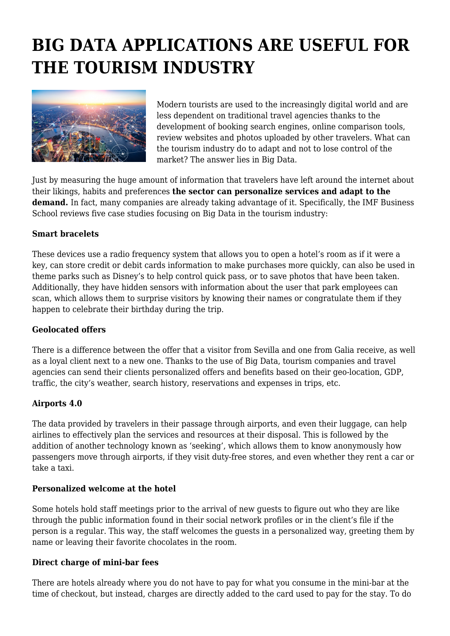# **BIG DATA APPLICATIONS ARE USEFUL FOR THE TOURISM INDUSTRY**



Modern tourists are used to the increasingly digital world and are less dependent on traditional travel agencies thanks to the development of booking search engines, online comparison tools, review websites and photos uploaded by other travelers. What can the tourism industry do to adapt and not to lose control of the market? The answer lies in Big Data.

Just by measuring the huge amount of information that travelers have left around the internet about their likings, habits and preferences **the sector can personalize services and adapt to the demand.** In fact, many companies are already taking advantage of it. Specifically, the IMF Business School reviews five case studies focusing on Big Data in the tourism industry:

## **Smart bracelets**

These devices use a radio frequency system that allows you to open a hotel's room as if it were a key, can store credit or debit cards information to make purchases more quickly, can also be used in theme parks such as Disney's to help control quick pass, or to save photos that have been taken. Additionally, they have hidden sensors with information about the user that park employees can scan, which allows them to surprise visitors by knowing their names or congratulate them if they happen to celebrate their birthday during the trip.

## **Geolocated offers**

There is a difference between the offer that a visitor from Sevilla and one from Galia receive, as well as a loyal client next to a new one. Thanks to the use of Big Data, tourism companies and travel agencies can send their clients personalized offers and benefits based on their geo-location, GDP, traffic, the city's weather, search history, reservations and expenses in trips, etc.

## **Airports 4.0**

The data provided by travelers in their passage through airports, and even their luggage, can help airlines to effectively plan the services and resources at their disposal. This is followed by the addition of another technology known as 'seeking', which allows them to know anonymously how passengers move through airports, if they visit duty-free stores, and even whether they rent a car or take a taxi.

## **Personalized welcome at the hotel**

Some hotels hold staff meetings prior to the arrival of new guests to figure out who they are like through the public information found in their social network profiles or in the client's file if the person is a regular. This way, the staff welcomes the guests in a personalized way, greeting them by name or leaving their favorite chocolates in the room.

## **Direct charge of mini-bar fees**

There are hotels already where you do not have to pay for what you consume in the mini-bar at the time of checkout, but instead, charges are directly added to the card used to pay for the stay. To do